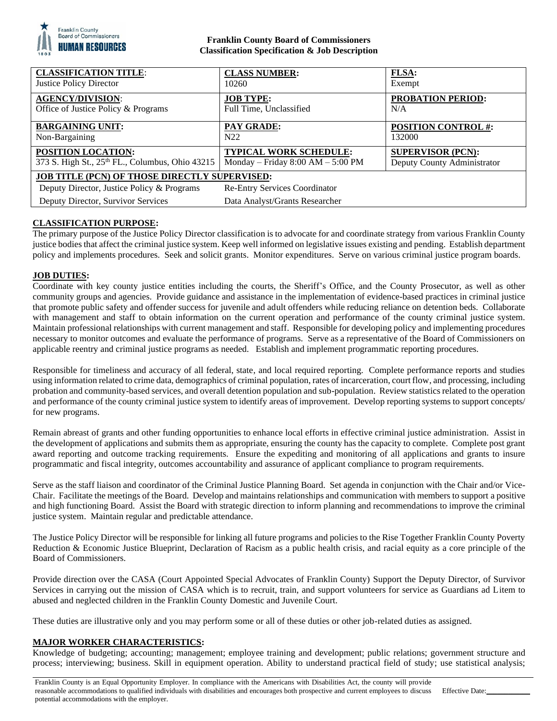

## **Franklin County Board of Commissioners Classification Specification & Job Description**

| <b>CLASSIFICATION TITLE:</b><br><b>Justice Policy Director</b> | <b>CLASS NUMBER:</b><br>10260         | <b>FLSA:</b><br>Exempt      |
|----------------------------------------------------------------|---------------------------------------|-----------------------------|
| <b>AGENCY/DIVISION:</b>                                        | <b>JOB TYPE:</b>                      | <b>PROBATION PERIOD:</b>    |
| Office of Justice Policy & Programs                            | Full Time, Unclassified               | N/A                         |
| <b>BARGAINING UNIT:</b>                                        | <b>PAY GRADE:</b>                     | <b>POSITION CONTROL #:</b>  |
| Non-Bargaining                                                 | N22                                   | 132000                      |
| <b>POSITION LOCATION:</b>                                      | <b>TYPICAL WORK SCHEDULE:</b>         | <b>SUPERVISOR (PCN):</b>    |
| 373 S. High St., 25th FL., Columbus, Ohio 43215                | Monday – Friday $8:00$ AM – $5:00$ PM | Deputy County Administrator |
| <b>JOB TITLE (PCN) OF THOSE DIRECTLY SUPERVISED:</b>           |                                       |                             |
| Deputy Director, Justice Policy & Programs                     | <b>Re-Entry Services Coordinator</b>  |                             |
| Deputy Director, Survivor Services                             | Data Analyst/Grants Researcher        |                             |

# **CLASSIFICATION PURPOSE:**

The primary purpose of the Justice Policy Director classification is to advocate for and coordinate strategy from various Franklin County justice bodies that affect the criminal justice system. Keep well informed on legislative issues existing and pending. Establish department policy and implements procedures. Seek and solicit grants. Monitor expenditures. Serve on various criminal justice program boards.

# **JOB DUTIES:**

Coordinate with key county justice entities including the courts, the Sheriff's Office, and the County Prosecutor, as well as other community groups and agencies. Provide guidance and assistance in the implementation of evidence-based practices in criminal justice that promote public safety and offender success for juvenile and adult offenders while reducing reliance on detention beds. Collaborate with management and staff to obtain information on the current operation and performance of the county criminal justice system. Maintain professional relationships with current management and staff. Responsible for developing policy and implementing procedures necessary to monitor outcomes and evaluate the performance of programs. Serve as a representative of the Board of Commissioners on applicable reentry and criminal justice programs as needed. Establish and implement programmatic reporting procedures.

Responsible for timeliness and accuracy of all federal, state, and local required reporting. Complete performance reports and studies using information related to crime data, demographics of criminal population, rates of incarceration, court flow, and processing, including probation and community-based services, and overall detention population and sub-population. Review statistics related to the operation and performance of the county criminal justice system to identify areas of improvement. Develop reporting systems to support concepts/ for new programs.

Remain abreast of grants and other funding opportunities to enhance local efforts in effective criminal justice administration. Assist in the development of applications and submits them as appropriate, ensuring the county has the capacity to complete. Complete post grant award reporting and outcome tracking requirements. Ensure the expediting and monitoring of all applications and grants to insure programmatic and fiscal integrity, outcomes accountability and assurance of applicant compliance to program requirements.

Serve as the staff liaison and coordinator of the Criminal Justice Planning Board. Set agenda in conjunction with the Chair and/or Vice-Chair. Facilitate the meetings of the Board. Develop and maintains relationships and communication with members to support a positive and high functioning Board. Assist the Board with strategic direction to inform planning and recommendations to improve the criminal justice system. Maintain regular and predictable attendance.

The Justice Policy Director will be responsible for linking all future programs and policies to the Rise Together Franklin County Poverty Reduction & Economic Justice Blueprint, Declaration of Racism as a public health crisis, and racial equity as a core principle of the Board of Commissioners.

Provide direction over the CASA (Court Appointed Special Advocates of Franklin County) Support the Deputy Director, of Survivor Services in carrying out the mission of CASA which is to recruit, train, and support volunteers for service as Guardians ad Litem to abused and neglected children in the Franklin County Domestic and Juvenile Court.

These duties are illustrative only and you may perform some or all of these duties or other job-related duties as assigned.

## **MAJOR WORKER CHARACTERISTICS:**

Knowledge of budgeting; accounting; management; employee training and development; public relations; government structure and process; interviewing; business. Skill in equipment operation. Ability to understand practical field of study; use statistical analysis;